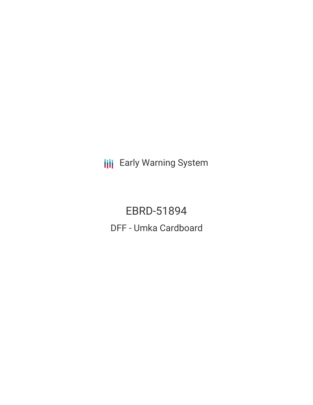**III** Early Warning System

EBRD-51894 DFF - Umka Cardboard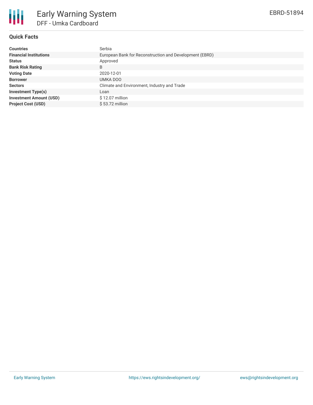

# **Quick Facts**

| <b>Countries</b>               | Serbia                                                  |
|--------------------------------|---------------------------------------------------------|
| <b>Financial Institutions</b>  | European Bank for Reconstruction and Development (EBRD) |
| <b>Status</b>                  | Approved                                                |
| <b>Bank Risk Rating</b>        | B                                                       |
| <b>Voting Date</b>             | 2020-12-01                                              |
| <b>Borrower</b>                | UMKA DOO                                                |
| <b>Sectors</b>                 | Climate and Environment, Industry and Trade             |
| <b>Investment Type(s)</b>      | Loan                                                    |
| <b>Investment Amount (USD)</b> | $$12.07$ million                                        |
| <b>Project Cost (USD)</b>      | $$53.72$ million                                        |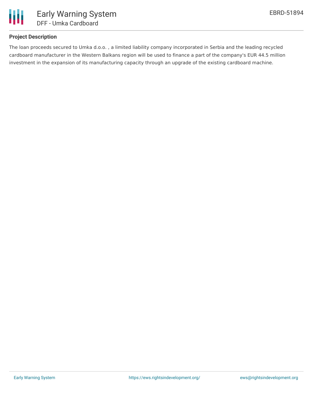

# **Project Description**

The loan proceeds secured to Umka d.o.o. , a limited liability company incorporated in Serbia and the leading recycled cardboard manufacturer in the Western Balkans region will be used to finance a part of the company's EUR 44.5 million investment in the expansion of its manufacturing capacity through an upgrade of the existing cardboard machine.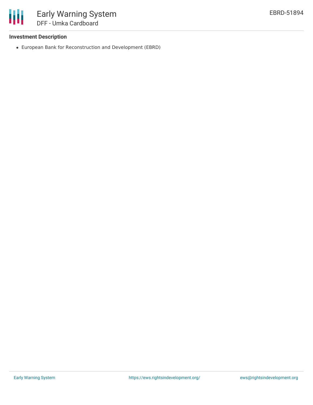

### **Investment Description**

European Bank for Reconstruction and Development (EBRD)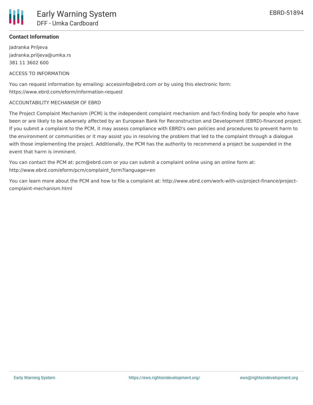

### **Contact Information**

Jadranka Priljeva jadranka.priljeva@umka.rs 381 11 3602 600

### ACCESS TO INFORMATION

You can request information by emailing: accessinfo@ebrd.com or by using this electronic form: https://www.ebrd.com/eform/information-request

### ACCOUNTABILITY MECHANISM OF EBRD

The Project Complaint Mechanism (PCM) is the independent complaint mechanism and fact-finding body for people who have been or are likely to be adversely affected by an European Bank for Reconstruction and Development (EBRD)-financed project. If you submit a complaint to the PCM, it may assess compliance with EBRD's own policies and procedures to prevent harm to the environment or communities or it may assist you in resolving the problem that led to the complaint through a dialogue with those implementing the project. Additionally, the PCM has the authority to recommend a project be suspended in the event that harm is imminent.

You can contact the PCM at: pcm@ebrd.com or you can submit a complaint online using an online form at: http://www.ebrd.com/eform/pcm/complaint\_form?language=en

You can learn more about the PCM and how to file a complaint at: http://www.ebrd.com/work-with-us/project-finance/projectcomplaint-mechanism.html